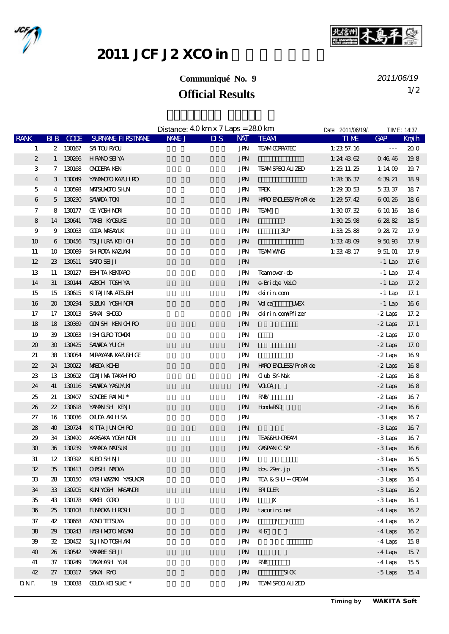



## 2011 JCF J2 XCO in

## **Communiqué No. 9**

**Official Results** 1/2 *2011/06/19*

|                             |                             |           |                              | Distance: $40 \,\mathrm{km} \times 7 \,\mathrm{Laps} = 280 \,\mathrm{km}$ |                                   |                             | Date: 2011/06/19/. |                         | TIME: 14:37. |
|-----------------------------|-----------------------------|-----------|------------------------------|---------------------------------------------------------------------------|-----------------------------------|-----------------------------|--------------------|-------------------------|--------------|
| <b>RANK</b>                 |                             | BIB CODE  | <b>SURVANE FIRSTIVANE</b>    | NAME-J                                                                    | $\overline{\mathbf{M}}\mathbf{S}$ | NAT TEAM                    | <b>TIME</b>        | GAP                     | Km/h         |
| $\mathbf{1}$                |                             |           | 2 130167 SAITOURYOU          |                                                                           | JPN                               | <b>TEAMOORATEC</b>          | 1: $23\,57.16$     | $\perp$ $\perp$ $\perp$ | 200          |
| $\boldsymbol{2}$            |                             | 1 130266  | <b>HRANO SEI YA</b>          |                                                                           | <b>JPN</b>                        |                             | 1:24 43 $62$       | Q 46 46                 | 198          |
| 3                           |                             | 7 130168  | <b>ONDERA KEN</b>            |                                                                           | JPN                               | <b>TEAMSPECI ALIZED</b>     | 1: 2511. 25        | 1:14 $@$                | 197          |
| $\overline{4}$              |                             | 3 130049  | YANANOIO KAZLH RO            |                                                                           | <b>JPN</b>                        |                             | 1: $283637$        | 4 39 21                 | 189          |
| 5                           |                             | 4 130598  | MAISUMOIO SHUN               |                                                                           | <b>JPN</b>                        | TREK                        | 1: 293053          | 53337                   | 187          |
| 6                           |                             | 5 130230  | <b>SAVADA TON</b>            |                                                                           | <b>JPN</b>                        | HNOENLESS/ProRide           | 1: $29\,57.42$     | 60026                   | 186          |
| 7                           | 8                           | 130177    | <b>Œ YOSHNRI</b>             |                                                                           | <b>JPN</b>                        | <b>TEAM</b>                 | 1:3007.32          | 6 10 16                 | 186          |
| ${\bf 8}$                   |                             | 14 130641 | TAKEI KYOSUKE                |                                                                           | <b>JPN</b>                        | $\mathbf{I}$                | 1:302598           | 62882                   | 185          |
| $9$                         | 9                           | 130053    | <b>COOA MASAYLKI</b>         |                                                                           | <b>JPN</b>                        | 3P                          | 1:332588           | 92872                   | 17.9         |
| 10                          |                             | 6 130456  | <b>TSUTURA KEITCH</b>        |                                                                           | $\operatorname{JPN}$              |                             | 1:334809           | 95093                   | 17.9         |
| 11                          | 10                          | 130089    | <b>SHROTA KAZLAKI</b>        |                                                                           | <b>JPN</b>                        | <b>TEAMWNG</b>              | 1:33 48 17         | 9 51 01                 | 17.9         |
| $12\,$                      |                             | 23 130511 | <b>SATO SEI JI</b>           |                                                                           | $\operatorname{JPN}$              |                             |                    | $-1$ Lap                | 17.6         |
| 13                          | 11                          | 130127    | <b>ESH TA KENTARO</b>        |                                                                           | JPN                               | Teamover-do                 |                    | $-1$ Lap                | 17.4         |
| 14                          | 31                          |           | 130144 AZECH TOSHYA          |                                                                           | <b>JPN</b>                        | e-Bridge VeLO               |                    | $-1$ Lap                | 17.2         |
| 15                          |                             |           | 15 130615 KITAJIMA ATSUSH    |                                                                           | JPN                               | cki ri n com                |                    | $-1$ Lap                | 17.1         |
| 16                          | $\boldsymbol{\mathfrak{D}}$ |           | 130294 SUZUN YOSHNON         |                                                                           | <b>JPN</b>                        | <b>Vol</b> ca<br><b>UEX</b> |                    | $-1$ Lap                | 166          |
| 17                          | 17                          | 130013    | SAKAI SHOOD                  |                                                                           | JPN                               | ckirin com/Pfizer           |                    | -2 Laps                 | 17.2         |
| 18                          |                             | 18 130369 | <b>OON SH KEN CH RO</b>      |                                                                           | <b>JPN</b>                        |                             |                    | $-2$ Laps               | 17.1         |
| 19                          | 39                          |           | 130033 ISHOLROTOMON          |                                                                           | JPN                               |                             |                    | $-2$ Laps               | 17.0         |
| $\boldsymbol{\mathfrak{D}}$ |                             | 30 130425 | SAWADA YU CH                 |                                                                           | <b>JPN</b>                        |                             |                    | $-2$ Laps               | 17. O        |
| 21                          | 38                          | 130054    | NURAYANA KAZUSH Œ            |                                                                           | <b>JPN</b>                        |                             |                    | $-2$ Laps               | 169          |
| ${\bf Z}$                   |                             | 24 130022 | <b>MEDA KOHI</b>             |                                                                           | <b>JPN</b>                        | HROENLESS/ProRide           |                    | $-2$ Laps               | 168          |
| ${\bf Z}$                   | 13                          | 130602    | <b>ODUI MA TAKAH RO</b>      |                                                                           | <b>JPN</b>                        | <b>Club SY-Nak</b>          |                    | $-2$ Laps               | 168          |
| 24                          | 41                          | 130116    | <b>SAWDA YASUMKI</b>         |                                                                           | <b>JPN</b>                        | <b>VOCA</b>                 |                    | $-2$ Laps               | 168          |
| 25                          | 21                          | 130407    | SONDERANU <sup>*</sup>       |                                                                           | <b>JPN</b>                        | <b>RNB</b>                  |                    | $-2$ Laps               | 167          |
| 26                          | $22\,$                      | 130618    | YANAN SH KENJI               |                                                                           | <b>JPN</b>                        | <b>HondaR&amp;D</b>         |                    | $-2$ Laps               | 166          |
| 27                          |                             | 16 130036 | <b>OKIDA AKIHSA</b>          |                                                                           | <b>JPN</b>                        |                             |                    | -3 Laps                 | 167          |
| 28                          | 40                          |           | 130724 KITTA JUNCHRO         |                                                                           | <b>JPN</b>                        |                             |                    | $-3$ Laps               | 167          |
| 29                          |                             |           | 34 130490 AKASAKA YOSH NOR   |                                                                           | <b>JPN</b>                        | <b>TEASSHJ-CREAM</b>        |                    | -3 Laps                 | 167          |
| $\boldsymbol{\mathfrak{D}}$ |                             | 36 130239 | YANADA NATSUKI               |                                                                           | <b>JPN</b>                        | <b>GASPAN C SP</b>          |                    | $-3$ Laps               | 166          |
| $31\,$                      |                             |           | 12 130392 KLBOSHNI           |                                                                           | JPN                               |                             |                    | $-3$ Laps               | 165          |
| $\mathfrak{B}$              |                             |           | 35 130413 CHASH NAOXA        |                                                                           | JPN                               | bbs. 29er. jp               |                    | $-3$ Laps               | 165          |
| 33                          |                             |           | 28 130150 KASHWAZAKI YASUNDA |                                                                           | JPN                               | TEA & SHJ ~ CREAM           |                    | $-3$ Laps               | 164          |
| 34                          |                             | 33 130205 | KLN YOSH MASANORI            |                                                                           | <b>JPN</b>                        | <b>BRILER</b>               |                    | $-3$ Laps               | 162          |
| 35                          |                             | 43 130178 | KAKEI GORO                   |                                                                           | <b>JPN</b>                        | $\mathbf X$                 |                    | $-3$ Laps               | 16 1         |
| 36                          |                             | 25 130108 | FUNCKA HROSH                 |                                                                           | <b>JPN</b>                        | tacuri m net                |                    | $-4$ Laps               | 162          |
| 37                          |                             | 42 130668 | <b>AOO TEISUYA</b>           |                                                                           | <b>JPN</b>                        | 1/                          |                    | $-4$ Laps               | 162          |
| 38                          |                             | 29 130243 | HASH MOTO MASAKI             |                                                                           | <b>JPN</b>                        | KHS                         |                    | $-4$ Laps               | 162          |
| 39                          |                             | 32 130452 | <b>SUII NO TOSH AKI</b>      |                                                                           | <b>JPN</b>                        |                             |                    | $-4$ Laps               | 158          |
| 40                          |                             | 26 130542 | YANABE SEI JI                |                                                                           | <b>JPN</b>                        |                             |                    | $-4$ Laps               | 157          |
| 41                          |                             | 37 130249 | TAKAHASH YUKI                |                                                                           | <b>JPN</b>                        | RNB                         |                    | $-4$ Laps               | 155          |
| $42\,$                      |                             | 27 130317 | SAKAI RMO                    |                                                                           | $\operatorname{JPN}$              | S I K                       |                    | $-5$ Laps               | 154          |
| DNF.                        |                             | 19 13038  | <b>GODA KEI SUKE *</b>       |                                                                           | <b>JPN</b>                        | <b>TEAMSPECI ALIZED</b>     |                    |                         |              |